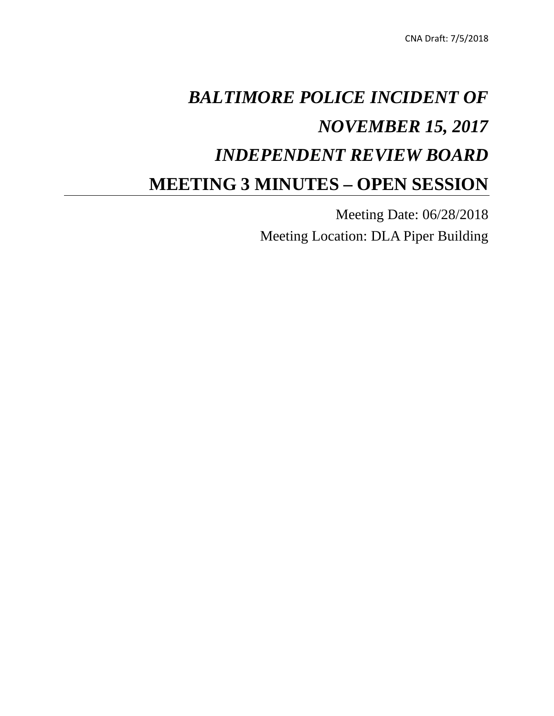# *BALTIMORE POLICE INCIDENT OF NOVEMBER 15, 2017 INDEPENDENT REVIEW BOARD* **MEETING 3 MINUTES – OPEN SESSION**

Meeting Date: 06/28/2018 Meeting Location: DLA Piper Building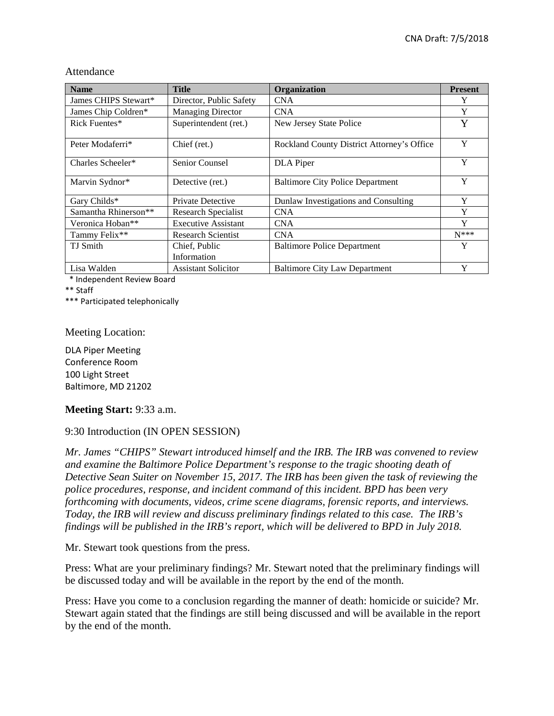| <b>Name</b>          | <b>Title</b>               | Organization                               | <b>Present</b> |
|----------------------|----------------------------|--------------------------------------------|----------------|
| James CHIPS Stewart* | Director, Public Safety    | <b>CNA</b>                                 | Y              |
| James Chip Coldren*  | <b>Managing Director</b>   | <b>CNA</b>                                 | Y              |
| Rick Fuentes*        | Superintendent (ret.)      | New Jersey State Police                    | Y              |
| Peter Modaferri*     | Chief (ret.)               | Rockland County District Attorney's Office | Y              |
| Charles Scheeler*    | Senior Counsel             | DLA Piper                                  | Y              |
| Marvin Sydnor*       | Detective (ret.)           | <b>Baltimore City Police Department</b>    | Y              |
| Gary Childs*         | <b>Private Detective</b>   | Dunlaw Investigations and Consulting       | Y              |
| Samantha Rhinerson** | Research Specialist        | <b>CNA</b>                                 | Y              |
| Veronica Hoban**     | <b>Executive Assistant</b> | <b>CNA</b>                                 | Y              |
| Tammy Felix**        | <b>Research Scientist</b>  | <b>CNA</b>                                 | $N***$         |
| <b>TJ</b> Smith      | Chief, Public              | <b>Baltimore Police Department</b>         | Y              |
|                      | Information                |                                            |                |
| Lisa Walden          | <b>Assistant Solicitor</b> | <b>Baltimore City Law Department</b>       | Y              |

Attendance

\* Independent Review Board

\*\* Staff

\*\*\* Participated telephonically

Meeting Location:

DLA Piper Meeting Conference Room 100 Light Street Baltimore, MD 21202

#### **Meeting Start:** 9:33 a.m.

#### 9:30 Introduction (IN OPEN SESSION)

*Mr. James "CHIPS" Stewart introduced himself and the IRB. The IRB was convened to review and examine the Baltimore Police Department's response to the tragic shooting death of Detective Sean Suiter on November 15, 2017. The IRB has been given the task of reviewing the police procedures, response, and incident command of this incident. BPD has been very forthcoming with documents, videos, crime scene diagrams, forensic reports, and interviews. Today, the IRB will review and discuss preliminary findings related to this case. The IRB's findings will be published in the IRB's report, which will be delivered to BPD in July 2018.* 

Mr. Stewart took questions from the press.

Press: What are your preliminary findings? Mr. Stewart noted that the preliminary findings will be discussed today and will be available in the report by the end of the month.

Press: Have you come to a conclusion regarding the manner of death: homicide or suicide? Mr. Stewart again stated that the findings are still being discussed and will be available in the report by the end of the month.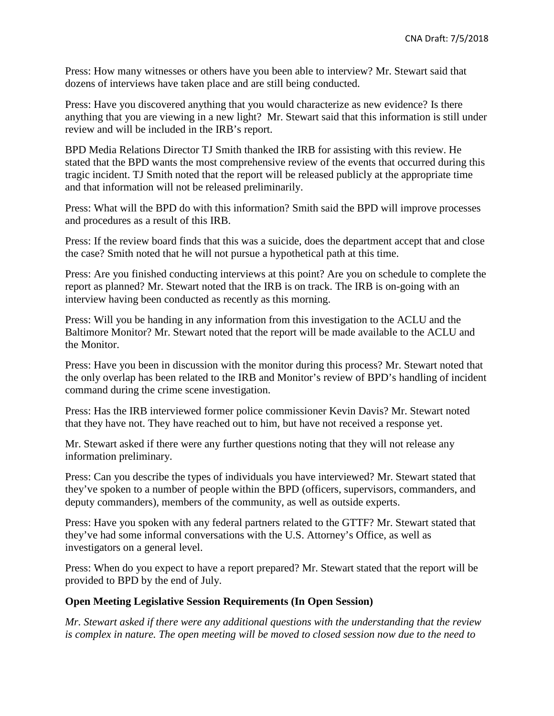Press: How many witnesses or others have you been able to interview? Mr. Stewart said that dozens of interviews have taken place and are still being conducted.

Press: Have you discovered anything that you would characterize as new evidence? Is there anything that you are viewing in a new light? Mr. Stewart said that this information is still under review and will be included in the IRB's report.

BPD Media Relations Director TJ Smith thanked the IRB for assisting with this review. He stated that the BPD wants the most comprehensive review of the events that occurred during this tragic incident. TJ Smith noted that the report will be released publicly at the appropriate time and that information will not be released preliminarily.

Press: What will the BPD do with this information? Smith said the BPD will improve processes and procedures as a result of this IRB.

Press: If the review board finds that this was a suicide, does the department accept that and close the case? Smith noted that he will not pursue a hypothetical path at this time.

Press: Are you finished conducting interviews at this point? Are you on schedule to complete the report as planned? Mr. Stewart noted that the IRB is on track. The IRB is on-going with an interview having been conducted as recently as this morning.

Press: Will you be handing in any information from this investigation to the ACLU and the Baltimore Monitor? Mr. Stewart noted that the report will be made available to the ACLU and the Monitor.

Press: Have you been in discussion with the monitor during this process? Mr. Stewart noted that the only overlap has been related to the IRB and Monitor's review of BPD's handling of incident command during the crime scene investigation.

Press: Has the IRB interviewed former police commissioner Kevin Davis? Mr. Stewart noted that they have not. They have reached out to him, but have not received a response yet.

Mr. Stewart asked if there were any further questions noting that they will not release any information preliminary.

Press: Can you describe the types of individuals you have interviewed? Mr. Stewart stated that they've spoken to a number of people within the BPD (officers, supervisors, commanders, and deputy commanders), members of the community, as well as outside experts.

Press: Have you spoken with any federal partners related to the GTTF? Mr. Stewart stated that they've had some informal conversations with the U.S. Attorney's Office, as well as investigators on a general level.

Press: When do you expect to have a report prepared? Mr. Stewart stated that the report will be provided to BPD by the end of July.

## **Open Meeting Legislative Session Requirements (In Open Session)**

*Mr. Stewart asked if there were any additional questions with the understanding that the review is complex in nature. The open meeting will be moved to closed session now due to the need to*